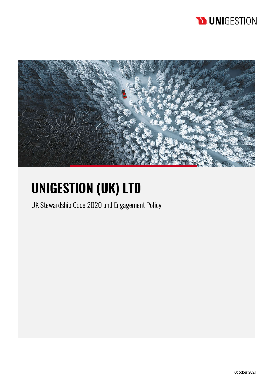# **D** UNIGESTION



# **UNIGESTION (UK) LTD**

UK Stewardship Code 2020 and Engagement Policy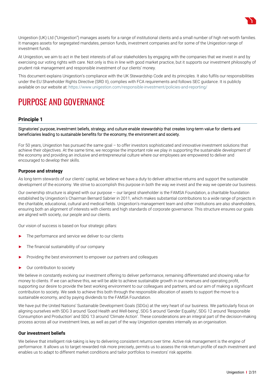

Unigestion (UK) Ltd ("Unigestion") manages assets for a range of institutional clients and a small number of high net-worth families. It manages assets for segregated mandates, pension funds, investment companies and for some of the Unigestion range of investment funds.

At Unigestion, we aim to act in the best interests of all our stakeholders by engaging with the companies that we invest in and by exercising our voting rights with care. Not only is this in line with good market practice, but it supports our investment philosophy of prudent risk management and responsible investment of our clients' money.

This document explains Unigestion's compliance with the UK Stewardship Code and its principles. It also fulfils our responsibilities under the EU Shareholder Rights Directive (SRD II), complies with FCA requirements and follows SEC guidance. It is publicly available on our website at: https://www.unigestion.com/responsible-investment/policies-and-reporting/

# PURPOSE AND GOVERNANCE

# **Principle 1**

Signatories' purpose, investment beliefs, strategy, and culture enable stewardship that creates long-term value for clients and beneficiaries leading to sustainable benefits for the economy, the environment and society.

For 50 years, Unigestion has pursued the same goal – to offer investors sophisticated and innovative investment solutions that achieve their objectives. At the same time, we recognise the important role we play in supporting the sustainable development of the economy and providing an inclusive and entrepreneurial culture where our employees are empowered to deliver and encouraged to develop their skills.

# **Purpose and strategy**

As long-term stewards of our clients' capital, we believe we have a duty to deliver attractive returns and support the sustainable development of the economy. We strive to accomplish this purpose in both the way we invest and the way we operate our business.

Our ownership structure is aligned with our purpose – our largest shareholder is the FAMSA Foundation, a charitable foundation established by Unigestion's Chairman Bernard Sabrier in 2011, which makes substantial contributions to a wide range of projects in the charitable, educational, cultural and medical fields. Unigestion's management team and other institutions are also shareholders, ensuring both an alignment of interests with clients and high standards of corporate governance. This structure ensures our goals are aligned with society, our people and our clients.

Our vision of success is based on four strategic pillars:

- ► The performance and service we deliver to our clients
- The financial sustainability of our company
- Providing the best environment to empower our partners and colleagues
- ► Our contribution to society

We believe in constantly evolving our investment offering to deliver performance, remaining differentiated and showing value for money to clients. If we can achieve this, we will be able to achieve sustainable growth in our revenues and operating profit, supporting our desire to provide the best working environment to our colleagues and partners, and our aim of making a significant contribution to society. We seek to achieve this both through the responsible allocation of assets to support the move to a sustainable economy, and by paying dividends to the FAMSA Foundation.

We have put the United Nations' Sustainable Development Goals (SDGs) at the very heart of our business. We particularly focus on aligning ourselves with SDG 3 around 'Good Health and Well-being', SDG 5 around 'Gender Equality', SDG 12 around 'Responsible Consumption and Production' and SDG 13 around 'Climate Action'. These considerations are an integral part of the decision-making process across all our investment lines, as well as part of the way Unigestion operates internally as an organisation.

# **Our investment beliefs**

We believe that intelligent risk-taking is key to delivering consistent returns over time. Active risk management is the engine of performance. It allows us to target rewarded risk more precisely, permits us to assess the risk-return profile of each investment and enables us to adapt to different market conditions and tailor portfolios to investors' risk appetite.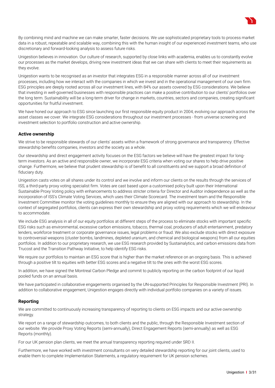

By combining mind and machine we can make smarter, faster decisions. We use sophisticated proprietary tools to process market data in a robust, repeatable and scalable way, combining this with the human insight of our experienced investment teams, who use discretionary and forward-looking analysis to assess future risks.

Unigestion believes in innovation. Our culture of research, supported by close links with academia, enables us to constantly evolve our processes as the market develops, driving new investment ideas that we can share with clients to meet their requirements as they evolve.

Unigestion wants to be recognised as an investor that integrates ESG in a responsible manner across all of our investment processes, including how we interact with the companies in which we invest and in the operational management of our own firm. ESG principles are deeply rooted across all our investment lines, with 84% our assets covered by ESG considerations. We believe that investing in well-governed businesses with responsible practices can make a positive contribution to our clients' portfolios over the long term. Sustainability will be a long-term driver for change in markets, countries, sectors and companies, creating significant opportunities for fruitful investment.

We have honed our approach to ESG since launching our first responsible equity product in 2004, evolving our approach across the asset classes we cover. We integrate ESG considerations throughout our investment processes - from universe screening and investment selection to portfolio construction and active ownership.

# **Active ownership**

We strive to be responsible stewards of our clients' assets within a framework of strong governance and transparency. Effective stewardship benefits companies, investors and the society as a whole.

Our stewardship and direct engagement activity focuses on the ESG factors we believe will have the greatest impact for longterm investors. As an active and responsible owner, we incorporate ESG criteria when voting our shares to help drive positive change. Furthermore, we believe that prudent stewardship is of benefit to all constituents and we support a broad definition of fiduciary duty.

Unigestion casts votes on all shares under its control and we involve and inform our clients on the results through the services of ISS, a third-party proxy voting specialist firm. Votes are cast based upon a customised policy built upon their International Sustainable Proxy Voting policy with enhancements to address stricter criteria for Director and Auditor independence as well as the incorporation of ISS's Climate Voting Services, which uses their Climate Scorecard. The investment team and the Responsible Investment Committee monitor the voting guidelines monthly to ensure they are aligned with our approach to stewardship. In the context of segregated portfolios, clients can express their own stewardship and proxy voting requirements which we will endeavour to accommodate.

We include ESG analysis in all of our equity portfolios at different steps of the process to eliminate stocks with important specific ESG risks such as environmental, excessive carbon emissions, tobacco, thermal coal, producers of adult entertainment, predatory lenders, workforce treatment or corporate governance issues, legal problems or fraud. We also exclude stocks with direct exposure to controversial weapons (cluster bombs, landmines, depleted uranium, and chemical and biological weapons) from all our equities portfolios. In addition to our proprietary research, we use ESG research provided by Sustainalytics, and carbon emissions data from Trucost and the Transition Pathway Initiative, to help identify ESG risks.

We require our portfolios to maintain an ESG score that is higher than the market reference on an ongoing basis. This is achieved through a positive tilt to equities with better ESG scores and a negative tilt to the ones with the worst ESG scores.

In addition, we have signed the Montreal Carbon Pledge and commit to publicly reporting on the carbon footprint of our liquid pooled funds on an annual basis.

We have participated in collaborative engagements organised by the UN-supported Principles for Responsible Investment (PRI). In addition to collaborative engagement, Unigestion engages directly with individual portfolio companies on a variety of issues.

# **Reporting**

We are committed to continuously increasing transparency of reporting to clients on ESG impacts and our active ownership strategy.

We report on a range of stewardship outcomes, to both clients and the public, through the Responsible Investment section of our website. We provide Proxy Voting Reports (semi-annually), Direct Engagement Reports (semi-annually) as well as ESG Reports (monthly).

For our UK pension plan clients, we meet the annual transparency reporting required under SRD II.

Furthermore, we have worked with investment consultants on very detailed stewardship reporting for our joint clients, used to enable them to complete Implementation Statements, a regulatory requirement for UK pension schemes.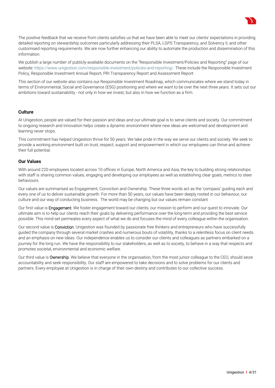

The positive feedback that we receive from clients satisfies us that we have been able to meet our clients' expectations in providing detailed reporting on stewardship outcomes particularly addressing their PLSA, LGPS Transparency, and Solvency II, and other customised reporting requirements. We are now further enhancing our ability to automate the production and dissemination of this information.

We publish a large number of publicly-available documents on the "Responsible Investment/Policies and Reporting" page of our website: https://www.unigestion.com/responsible-investment/policies-and-reporting/. These include the Responsible Investment Policy, Responsible Investment Annual Report, PRI Transparency Report and Assessment Report.

This section of our website also contains our Responsible Investment Roadmap, which communicates where we stand today in terms of Environmental, Social and Governance (ESG) positioning and where we want to be over the next three years. It sets out our ambitions toward sustainability - not only in how we invest, but also in how we function as a firm.

# **Culture**

At Unigestion, people are valued for their passion and ideas and our ultimate goal is to serve clients and society. Our commitment to ongoing research and innovation helps create a dynamic environment where new ideas are welcomed and development and learning never stops.

This commitment has helped Unigestion thrive for 50 years. We take pride in the way we serve our clients and society. We seek to provide a working environment built on trust, respect, support and empowerment in which our employees can thrive and achieve their full potential.

#### **Our Values**

With around 220 employees located across 10 offices in Europe, North America and Asia, the key to building strong relationships with staff is sharing common values, engaging and developing our employees as well as establishing clear goals, metrics to steer behaviours.

Our values are summarised as Engagement, Conviction and Ownership. These three words act as the 'compass' guiding each and every one of us to deliver sustainable growth. For more than 50 years, our values have been deeply rooted in our behaviour, our culture and our way of conducting business. The world may be changing but our values remain constant

Our first value is Engagement. We foster engagement toward our clients, our mission to perform and our quest to innovate. Our ultimate aim is to help our clients reach their goals by delivering performance over the long-term and providing the best service possible. This mind-set permeates every aspect of what we do and focuses the mind of every colleague within the organisation.

Our second value is **Conviction**. Unigestion was founded by passionate free thinkers and entrepreneurs who have successfully guided the company through several market crashes and numerous bouts of volatility, thanks to a relentless focus on client needs and an emphasis on new ideas. Our independence enables us to consider our clients and colleagues as partners embarked on a journey for the long run. We have the responsibility to our stakeholders, as well as to society, to behave in a way that respects and promotes societal, environmental and economic welfare.

Our third value is Ownership. We believe that everyone in the organisation, from the most junior colleague to the CEO, should seize accountability and seek responsibility. Our staff are empowered to take decisions and to solve problems for our clients and partners. Every employee at Unigestion is in charge of their own destiny and contributes to our collective success.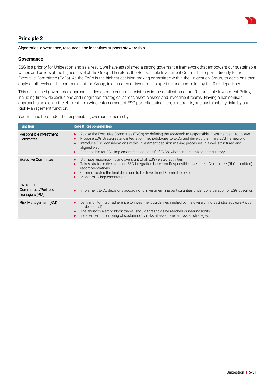

# **Principle 2**

#### Signatories' governance, resources and incentives support stewardship.

#### **Governance**

ESG is a priority for Unigestion and as a result, we have established a strong governance framework that empowers our sustainable values and beliefs at the highest level of the Group. Therefore, the Responsible Investment Committee reports directly to the Executive Committee (ExCo). As the ExCo is the highest decision-making committee within the Unigestion Group, its decisions then apply at all levels of the companies of the Group, in each area of investment expertise and controlled by the Risk department.

This centralised governance approach is designed to ensure consistency in the application of our Responsible Investment Policy, including firm-wide exclusions and integration strategies, across asset classes and investment teams. Having a harmonised approach also aids in the efficient firm-wide enforcement of ESG portfolio guidelines, constraints, and sustainability risks by our Risk Management function.

You will find hereunder the responsible governance hierarchy:

| <b>Function</b>                                     | <b>Role &amp; Responsibilities</b>                                                                                                                                                                                                                                                                                                                                                                                                   |
|-----------------------------------------------------|--------------------------------------------------------------------------------------------------------------------------------------------------------------------------------------------------------------------------------------------------------------------------------------------------------------------------------------------------------------------------------------------------------------------------------------|
| Responsible Investment<br>Committee                 | Advise the Executive Committee (ExCo) on defining the approach to responsible investment at Group level<br>▶<br>Propose ESG strategies and integration methodologies to ExCo and develop the firm's ESG framework<br>Introduce ESG considerations within investment decision-making processes in a well-structured and<br>aligned way<br>Responsible for ESG implementation on behalf of ExCo, whether customized or regulatory<br>▶ |
| <b>Executive Committee</b>                          | Ultimate responsibility and oversight of all ESG-related activities<br>Takes strategic decisions on ESG integration based on Responsible Investment Committee (RI Committee)<br>recommendations<br>Communicates the final decisions to the Investment Committee (IC)<br>▶<br>Monitors IC implementation                                                                                                                              |
| Investment<br>Committees/Portfolio<br>managers (PM) | Implement ExCo decisions according to investment line particularities under consideration of ESG specifics<br>▶                                                                                                                                                                                                                                                                                                                      |
| Risk Management (RM)                                | Daily monitoring of adherence to investment quidelines implied by the overarching ESG strategy (pre + post<br>▶<br>trade control)<br>The ability to alert or block trades, should thresholds be reached or nearing limits<br>Independent monitoring of sustainability risks at asset level across all strategies                                                                                                                     |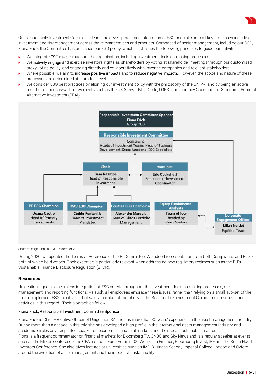Our Responsible Investment Committee leads the development and integration of ESG principles into all key processes including investment and risk management across the relevant entities and products. Composed of senior management, including our CEO, Fiona Frick, the Committee has published our ESG policy, which establishes the following principles to guide our activities:

- We integrate **ESG risks** throughout the organisation, including investment decision-making processes
- We **actively engage** and exercise investors' rights as shareholders by voting at shareholder meetings through our customised proxy voting policy, and engaging directly and collaboratively with investee companies and relevant stakeholders
- Where possible, we aim to increase positive impacts and to reduce negative impacts. However, the scope and nature of these processes are determined at a product level
- We consider ESG best practices by aligning our investment policy with the philosophy of the UN PRI and by being an active member of industry-wide movements such as the UK Stewardship Code, LGPS Transparency Code and the Standards Board of Alternative Investment (SBAI).



Source: Unigestion as at 31 December 2020.

During 2020, we updated the Terms of Reference of the RI Committee. We added representation from both Compliance and Risk both of which hold vetoes. Their expertise is particularly relevant when addressing new regulatory regimes such as the EU's Sustainable Finance Disclosure Regulation (SFDR).

#### **Resources**

Unigestion's goal is a seamless integration of ESG criteria throughout the investment decision making processes, risk management, and reporting functions. As such, all employees embrace these issues, rather than relying on a small sub-set of the firm to implement ESG initiatives. That said, a number of members of the Responsible Investment Committee spearhead our activities in this regard. Their biographies follow:

#### Fiona Frick, Responsible Investment Committee Sponsor

Fiona Frick is Chief Executive Officer of Unigestion SA and has more than 30 years' experience in the asset management industry. During more than a decade in this role she has developed a high profile in the international asset management industry and academic circles as a respected speaker on economics, financial markets and the rise of sustainable finance. Fiona is a frequent commentator on financial markets for Bloomberg TV, CNBC and Sky News and is a regular speaker at events such as the Milken conference, the CFA Institute, Fund Forum, 100 Women in Finance, Bloomberg Invest, IPE and the Robin Hood Investors Conference. She also gives lectures at universities such as IMD Business School, Imperial College London and Oxford around the evolution of asset management and the impact of sustainability.

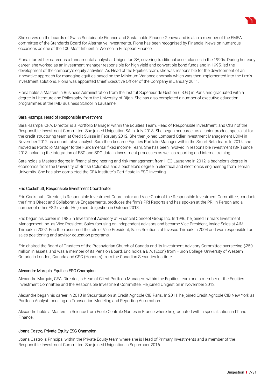

Fiona started her career as a fundamental analyst at Unigestion SA, covering traditional asset classes in the 1990s. During her early career, she worked as an investment manager responsible for high yield and convertible bond funds and in 1995, led the development of the company's equity activities. As Head of the Equities team, she was responsible for the development of an innovative approach for managing equities based on the Minimum Variance anomaly which was then implemented into the firm's investment solutions. Fiona was appointed Chief Executive Officer of the Company in January 2011.

Fiona holds a Masters in Business Administration from the Institut Supérieur de Gestion (I.S.G.) in Paris and graduated with a degree in Literature and Philosophy from the University of Dijon. She has also completed a number of executive education programmes at the IMD Business School in Lausanne.

#### Sara Razmpa, Head of Responsible Investment

Sara Razmpa, CFA, Director, is a Portfolio Manager within the Equities Team, Head of Responsible Investment, and Chair of the Responsible Investment Committee. She joined Unigestion SA in July 2018. She began her career as a junior product specialist for the credit structuring team at Credit Suisse in February 2012. She then joined Lombard Odier Investment Management LOIM in November 2012 as a quantitative analyst. Sara then became Equities Portfolio Manager within the Smart Beta team. In 2014, she moved as Portfolio Manager to the Fundamental fixed income Team. She has been involved in responsible investment (SRI) since 2013 including the integration of ESG and SDG data in investment processes as well as reporting and internal training.

Sara holds a Masters degree in financial engineering and risk management from HEC Lausanne in 2012, a bachelor's degree in economics from the University of British Columbia and a bachelor's degree in electrical and electronics engineering from Tehran University. She has also completed the CFA Institute's Certificate in ESG Investing.

#### Eric Cockshutt, Responsible Investment Coordinator

Eric Cockshutt, Director, is Responsible Investment Coordinator and Vice-Chair of the Responsible Investment Committee, conducts the firm's Direct and Collaborative Engagements, produces the firm's PRI Reports and has spoken at the PRI in Person and a number of other ESG events. He joined Unigestion in October 2013.

Eric began his career in 1985 in Investment Advisory at Financial Concept Group Inc. In 1996, he joined Trimark Investment Management Inc. as Vice President, Sales focusing on independent advisors and became Vice President, Inside Sales at AIM Trimark in 2002. Eric then assumed the role of Vice President, Sales Solutions at Invesco Trimark in 2004 and was responsible for sales positioning and advisor education programs.

Eric chaired the Board of Trustees of the Presbyterian Church of Canada and its Investment Advisory Committee overseeing \$250 million in assets, and was a member of its Pension Board. Eric holds a B.A. (Econ) from Huron College, University of Western Ontario in London, Canada and CSC (Honours) from the Canadian Securities Institute.

#### Alexandre Marquis, Equities ESG Champion

Alexandre Marquis, CFA, Director, is Head of Client Portfolio Managers within the Equities team and a member of the Equities Investment Committee and the Responsible Investment Committee. He joined Unigestion in November 2012.

Alexandre began his career in 2010 in Securitisation at Credit Agricole CIB Paris. In 2011, he joined Credit Agricole CIB New York as Portfolio Analyst focusing on Transaction Modeling and Reporting Automation.

Alexandre holds a Masters in Science from Ecole Centrale Nantes in France where he graduated with a specialisation in IT and Finance.

#### Joana Castro, Private Equity ESG Champion

Joana Castro is Principal within the Private Equity team where she is Head of Primary Investments and a member of the Responsible Investment Committee. She joined Unigestion in September 2016.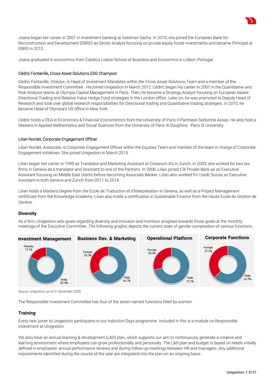

Joana began her career in 2007 in investment banking at Goldman Sachs. In 2010, she joined the European Bank for Reconstruction and Development (EBRD) as Senior Analyst focusing on private equity funds investments and became Principal at EBRD in 2013.

Joana graduated in economics from Catolica Lisbon School of Business and Economics in Lisbon, Portugal.

#### Cédric Fontanille, Cross Asset Solutions ESG Champion

Cédric Fontanille, Director, is Head of Investment Mandates within the Cross Asset Solutions Team and a member of the Responsible Investment Committee. He joined Unigestion in March 2012. Cédric began his career in 2001 in the Quantitative and Risk Analysis teams at Olympia Capital Management in Paris. Then, he became a Strategy Analyst focusing on European based Directional Trading and Relative Value Hedge Fund strategies in the London office. Later on, he was promoted to Deputy Head of Research and took over global research responsibilities for Directional trading and Quantitative trading strategies. In 2010, he became Head of Olympia's US office in New York.

Cédric holds a DEA in Economics & Financial Econometrics from the University of Paris II-Pantheon Sorbonne Assas. He also hold a Masters in Applied Mathematics and Social Sciences from the University of Paris IX Dauphine - Paris IX University.

#### Lilian Nordet, Corporate Engagement Officer

Lilian Nordet, Associate, is Corporate Engagement Officer within the Equities Team and member of the team in charge of Corporate Engagement initiatives. She joined Unigestion in March 2015.

Lilian began her carrier in 1999 as Translator and Marketing Assistant at Cosanum AG in Zurich. In 2003, she worked for two law firms in Geneva as a translator and Assistant to one of the Partners. In 2006, Lilian joined Citi Private Bank as an Executive Assistant focusing on Middle East clients before becoming Associate Banker. Lilian also worked for Credit Suisse as Executive Assistant in both Geneva and Zurich from 2011 to 2014.

Lilian holds a Masters Degree from the Ecole de Traduction et d'lnterpretation in Geneva, as well as a Project Management certificate from the Knowledge Academy. Lilian also holds a certification in Sustainable Finance from the Haute Ecole de Gestion de Genève.

# **Diversity**

As a firm, Unigestion sets goals regarding diversity and inclusion and monitors progress towards those goals at the monthly meetings of the Executive Committee. The following graphic depicts the current state of gender composition of various functions.



Source: Unigestion, as at 31 December 2020

The Responsible Investment Committee has four of the seven named functions filled by women.

# **Training**

Every new joiner to Unigestion participates in our Induction Days programme. Included in this is a module on Responsible Investment at Unigestion.

We also have an annual learning & development (L&D) plan, which supports our aim to continuously generate a creative and learning environment where employees can grow professionally and personally. The L&D plan and budget is based on needs initially defined in employees' annual performance reviews and during follow-up meetings between HR and managers. Any additional requirements identified during the course of the year are integrated into the plan on an ongoing basis.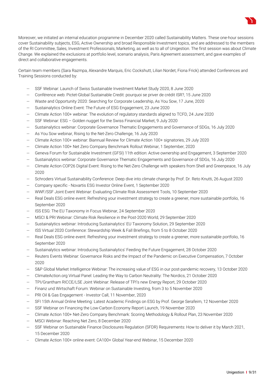

Moreover, we initiated an internal education programme in December 2020 called Sustainability Matters. These one-hour sessions cover Sustainability subjects, ESG, Active Ownership and broad Responsible Investment topics, and are addressed to the members of the RI Committee, Sales, Investment Professionals, Marketing, as well as to all of Unigestion. The first session was about Climate Change. We explained the exclusions at portfolio level, scenario analysis, Paris Agreement assessment, and gave examples of direct and collaborative engagements.

Certain team members (Sara Razmpa, Alexandre Marquis, Eric Cockshutt, Lilian Nordet, Fiona Frick) attended Conferences and Training Sessions conducted by:

- SSF Webinar: Launch of Swiss Sustainable Investment Market Study 2020, 8 June 2020
- Conférence web: Pictet-Global Sustainable Credit: pourquoi se priver de crédit ISR?, 15 June 2020
- Waste and Opportunity 2020: Searching for Corporate Leadership, As You Sow, 17 June, 2020
- Sustainalytics Online Event: The Future of ESG Engagement, 23 June 2020
- Climate Action 100+ webinar: The evolution of regulatory standards aligned to TCFD, 24 June 2020
- SSF Webinar: ESG Golden nugget for the Swiss Financial Market, 9 July 2020
- Sustainalytics webinar: Corporate Governance Thematic Engagements and Governance of SDGs, 16 July 2020
- As You Sow webinar, Rising to the Net-Zero Challenge, 16 July 2020
- Climate Action 100+ webinar: Biannual Review for Climate Action 100+ signatories, 29 July 2020
- Climate Action 100+ Net Zero Company Benchmark Rollout Webinar, 1 September, 2020
- Geneva Forum for Sustainable Investment (GFSI) 11th edition: Active ownership and Engagement, 3 September 2020
- Sustainalytics webinar: Corporate Governance Thematic Engagements and Governance of SDGs, 16 July 2020
- Climate Action COP26 Digital Event: Rising to the Net-Zero Challenge with speakers from Shell and Greenpeace, 16 July 2020
- Schroders Virtual Sustainability Conference: Deep dive into climate change by Prof. Dr. Reto Knutti, 26 August 2020
- Company specific Novartis ESG Investor Online Event, 1 September 2020
- WWF/SSF Joint Event Webinar: Evaluating Climate Risk Assessment Tools, 10 September 2020
- Real Deals ESG online event: Refreshing your investment strategy to create a greener, more sustainable portfolio, 16 September 2020
- ISS ESG: The EU Taxonomy in Focus Webinar, 24 September 2020
- MSCI & PRI Webinar: Climate Risk Resilience in the Post-2020 World, 29 September 2020
- Sustainalytics webinar: Introducing Sustainalytics' EU Taxonomy Solution, 29 September 2020
- ISS Virtual 2020 Conference: Stewardship Week & Fall Briefings, from 5 to 8 October 2020
- Real Deals ESG online event: Refreshing your investment strategy to create a greener, more sustainable portfolio, 16 September 2020
- Sustainalytics webinar: Introducing Sustainalytics' Feeding the Future Engagement, 28 October 2020
- Reuters Events Webinar: Governance Risks and the Impact of the Pandemic on Executive Compensation, 7 October 2020
- S&P Global Market Intelligence Webinar: The increasing value of ESG in our post-pandemic recovery, 13 October 2020
- ClimateAction.org Virtual Panel: Leading the Way to Carbon Neutrality: The Nordics, 21 October 2020
- TPI/Grantham RICCE/LSE Joint Webinar: Release of TPI's new Energy Report, 29 October 2020
- Finanz und Wirtschaft Forum: Webinar on Sustainable Investing, from 3 to 5 November 2020
- PRI Oil & Gas Engagement Investor Call, 11 November, 2020
- SFI 15th Annual Online Meeting: Latest Academic Findings on ESG by Prof. George Serafeim, 12 November 2020
- SSF Webinar on Financing the Low-Carbon Economy Report Launch, 19 November 2020
- Climate Action 100+ Net-Zero Company Benchmark: Scoring Methodology & Rollout Plan, 23 November 2020
- MSCI Webinar: Reaching Net Zero, 8 December 2020
- SSF Webinar on Sustainable Finance Disclosures Regulation (SFDR) Requirements: How to deliver it by March 2021, 15 December 2020
- Climate Action 100+ online event: CA100+ Global Year-end Webinar, 15 December 2020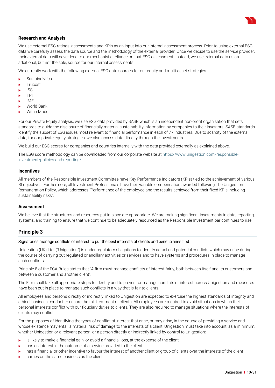

# **Research and Analysis**

We use external ESG ratings, assessments and KPIs as an input into our internal assessment process. Prior to using external ESG data we carefully assess the data source and the methodology of the external provider. Once we decide to use the service provider, their external data will never lead to our mechanistic reliance on that ESG assessment. Instead, we use external data as an additional, but not the sole, source for our internal assessments.

We currently work with the following external ESG data sources for our equity and multi-asset strategies:

- **Sustainalytics**
- **Trucost**
- $\blacksquare$  ISS
- $\blacksquare$  TPI
- $\blacksquare$ IMF
- ▶ World Bank
- Witch Model

For our Private Equity analysis, we use ESG data provided by SASB which is an independent non-profit organisation that sets standards to guide the disclosure of financially material sustainability information by companies to their investors. SASB standards identify the subset of ESG issues most relevant to financial performance in each of 77 industries. Due to scarcity of the external data, for our private equity strategies, we also access data directly through the investments.

We build our ESG scores for companies and countries internally with the data provided externally as explained above.

The ESG score methodology can be downloaded from our corporate website at https://www.unigestion.com/responsibleinvestment/policies-and-reporting/

#### **Incentives**

All members of the Responsible Investment Committee have Key Performance Indicators (KPIs) tied to the achievement of various RI objectives. Furthermore, all Investment Professionals have their variable compensation awarded following The Unigestion Remuneration Policy, which addresses "Performance of the employee and the results achieved from their fixed KPIs including sustainability risks".

#### **Assessment**

We believe that the structures and resources put in place are appropriate. We are making significant investments in data, reporting, systems, and training to ensure that we continue to be adequately resourced as the Responsible Investment bar continues to rise.

# **Principle 3**

#### Signatories manage conflicts of interest to put the best interests of clients and beneficiaries first.

Unigestion (UK) Ltd. ("Unigestion") is under regulatory obligations to identify actual and potential conflicts which may arise during the course of carrying out regulated or ancillary activities or services and to have systems and procedures in place to manage such conflicts.

Principle 8 of the FCA Rules states that "A firm must manage conflicts of interest fairly, both between itself and its customers and between a customer and another client".

The Firm shall take all appropriate steps to identify and to prevent or manage conflicts of interest across Unigestion and measures have been put in place to manage such conflicts in a way that is fair to clients.

All employees and persons directly or indirectly linked to Unigestion are expected to exercise the highest standards of integrity and ethical business conduct to ensure the fair treatment of clients. All employees are required to avoid situations in which their personal interests conflict with our fiduciary duties to clients. They are also required to manage situations where the interests of clients may conflict.

For the purposes of identifying the types of conflict of interest that arise, or may arise, in the course of providing a service and whose existence may entail a material risk of damage to the interests of a client, Unigestion must take into account, as a minimum, whether Unigestion or a relevant person, or a person directly or indirectly linked by control to Unigestion:

- $\blacktriangleright$  is likely to make a financial gain, or avoid a financial loss, at the expense of the client
- has an interest in the outcome of a service provided to the client
- has a financial or other incentive to favour the interest of another client or group of clients over the interests of the client
- carries on the same business as the client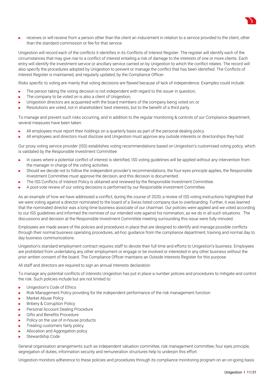

 receives or will receive from a person other than the client an inducement in relation to a service provided to the client, other than the standard commission or fee for that service.

Unigestion will record each of the conflicts it identifies in its Conflicts of Interest Register. The register will identify each of the circumstances that may give rise to a conflict of interest entailing a risk of damage to the interests of one or more clients. Each entry will identify the investment service or ancillary service carried on by Unigestion to which the conflict relates. The record will also specify the procedures adopted by Unigestion to prevent or manage the conflict that has been identified. The Conflicts of Interest Register is maintained, and regularly updated, by the Compliance Officer.

Risks specific to voting are mainly that voting decisions are flawed because of lack of independence. Examples could include:

- $\blacktriangleright$  The person taking the voting decision is not independent with regard to the issuer in question;
- The company to be voted on is also a client of Unigestion;
- $\blacktriangleright$  Unigestion directors are acquainted with the board members of the company being voted on; or
- Resolutions are voted, not in shareholders' best interests, but to the benefit of a third party.

To manage and prevent such risks occurring, and in addition to the regular monitoring & controls of our Compliance department, several measures have been taken:

- All employees must report their holdings on a quarterly basis as part of the personal dealing policy.
- All employees and directors must disclose and Unigestion must approve any outside interests or directorships they hold.

Our proxy voting service provider (ISS) establishes voting recommendations based on Unigestion's customised voting policy, which is validated by the Responsible Investment Committee.

- In cases where a potential conflict of interest is identified, ISS voting guidelines will be applied without any intervention from the manager in charge of the voting activities.
- Should we decide not to follow the independent provider's recommendations, the four-eyes principle applies, the Responsible Investment Committee must approve the decision, and this decision is documented.
- The ISS Conflicts of Interest Policy is obtained and reviewed by the Responsible Investment Committee.
- A post-vote review of our voting decisions is performed by our Responsible Investment Committee.

As an example of how we have addressed a conflict, during the course of 2020, a review of ISS voting instructions highlighted that we were voting against a director nominated to the board of a Swiss listed company due to overboarding. Further, it was learned that the nominated director was a long time business associate of our chairman. Our policies were applied and we voted according to our ISS guidelines and informed the nominee of our intended vote against his nomination, as we do in all such situations. The discussions and decision at the Responsible Investment Committee meeting surrounding this issue were fully minuted.

Employees are made aware of the policies and procedures in place that are designed to identify and manage possible conflicts through their normal business operating procedures, ad-hoc guidance from the compliance department, training and normal day to day business communications.

Unigestion's standard employment contract requires staff to devote their full time and efforts to Unigestion's business. Employees are prohibited from undertaking any other employment or engage or be involved or interested in any other business without the prior written consent of the board. The Compliance Officer maintains an Outside Interests Register for this purpose.

All staff and directors are required to sign an annual Interests declaration.

To manage any potential conflicts of interests Unigestion has put in place a number policies and procedures to mitigate and control the risk. Such policies include but are not limited to:

- **Now Unigestion's Code of Ethics**
- Risk Management Policy providing for the independent performance of the risk management function
- Market Abuse Policy
- Bribery & Corruption Policy
- **Personal Account Dealing Procedure**
- Gifts and Benefits Procedure
- Policy on the use of in-house products
- Treating customers fairly policy
- Allocation and Aggregation policy
- Stewardship Code

General organisation arrangements such as independent valuation committee, risk management committee, four eyes principle, segregation of duties, information security and remuneration structures help to underpin this effort.

Unigestion monitors adherence to these policies and procedures through its compliance monitoring program on an on-going basis.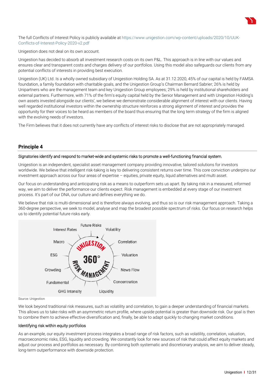

The full Conflicts of Interest Policy is publicly available at https://www.unigestion.com/wp-content/uploads/2020/10/UUK-Conflicts-of-Interest-Policy-2020-v2.pdf

Unigestion does not deal on its own account.

Unigestion has decided to absorb all investment research costs on its own P&L. This approach is in line with our values and ensures clear and transparent costs and charges delivery of our portfolios. Using this model also safeguards our clients from any potential conflicts of interests in providing best execution.

Unigestion (UK) Ltd. Is a wholly owned subsidiary of Unigestion Holding SA. As at 31.12.2020, 45% of our capital is held by FAMSA foundation, a family foundation with charitable goals, and the Unigestion Group's Chairman Bernard Sabrier; 26% is held by Unipartners who are the management team and key Unigestion Group employees; 29% is held by institutional shareholders and external partners. Furthermore, with 71% of the firm's equity capital held by the Senior Management and with Unigestion Holding's own assets invested alongside our clients', we believe we demonstrate considerable alignment of interest with our clients. Having well regarded institutional investors within the ownership structure reinforces a strong alignment of interest and provides the opportunity for their voices to be heard as members of the board thus ensuring that the long term strategy of the firm is aligned with the evolving needs of investors.

The Firm believes that it does not currently have any conflicts of interest risks to disclose that are not appropriately managed.

# **Principle 4**

#### Signatories identify and respond to market-wide and systemic risks to promote a well-functioning financial system.

Unigestion is an independent, specialist asset management company providing innovative, tailored solutions for investors worldwide. We believe that intelligent risk-taking is key to delivering consistent returns over time. This core conviction underpins our investment approach across our four areas of expertise – equities, private equity, liquid alternatives and multi asset.

Our focus on understanding and anticipating risk as a means to outperform sets us apart. By taking risk in a measured, informed way, we aim to deliver the performance our clients expect. Risk management is embedded at every stage of our investment process. It's part of our DNA, our culture and defines everything we do.

We believe that risk is multi-dimensional and is therefore always evolving, and thus so is our risk management approach. Taking a 360-degree perspective, we seek to model, analyse and map the broadest possible spectrum of risks. Our focus on research helps us to identify potential future risks early.



Source: Unigestion

We look beyond traditional risk measures, such as volatility and correlation, to gain a deeper understanding of financial markets. This allows us to take risks with an asymmetric return profile, where upside potential is greater than downside risk. Our goal is then to combine them to achieve effective diversification and, finally, be able to adapt quickly to changing market conditions.

### Identifying risk within equity portfolios

As an example, our equity investment process integrates a broad range of risk factors, such as volatility, correlation, valuation, macroeconomic risks, ESG, liquidity and crowding. We constantly look for new sources of risk that could affect equity markets and adjust our process and portfolios as necessary. By combining both systematic and discretionary analysis, we aim to deliver steady, long-term outperformance with downside protection.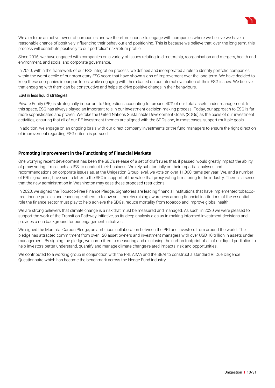

Since 2016, we have engaged with companies on a variety of issues relating to directorship, reorganisation and mergers, health and environment, and social and corporate governance.

In 2020, within the framework of our ESG integration process, we defined and incorporated a rule to identify portfolio companies within the worst decile of our proprietary ESG score that have shown signs of improvement over the long-term. We have decided to keep these companies in our portfolios, while engaging with them based on our internal evaluation of their ESG issues. We believe that engaging with them can be constructive and helps to drive positive change in their behaviours.

#### ESG in less liquid strategies

Private Equity (PE) is strategically important to Unigestion, accounting for around 40% of our total assets under management. In this space, ESG has always played an important role in our investment decision-making process. Today, our approach to ESG is far more sophisticated and proven. We take the United Nations Sustainable Development Goals (SDGs) as the basis of our investment activities, ensuring that all of our PE investment themes are aligned with the SDGs and, in most cases, support multiple goals.

In addition, we engage on an ongoing basis with our direct company investments or the fund managers to ensure the right direction of improvement regarding ESG criteria is pursued.

#### **Promoting Improvement in the Functioning of Financial Markets**

One worrying recent development has been the SEC's release of a set of draft rules that, if passed, would greatly impact the ability of proxy voting firms, such as ISS, to conduct their business. We rely substantially on their impartial analyses and recommendations on corporate issues as, at the Unigestion Group level, we vote on over 11,000 items per year. We, and a number of PRI signatories, have sent a letter to the SEC in support of the value that proxy voting firms bring to the industry. There is a sense that the new administration in Washington may ease these proposed restrictions.

In 2020, we signed the Tobacco-Free Finance Pledge. Signatories are leading financial institutions that have implemented tobaccofree finance policies and encourage others to follow suit, thereby raising awareness among financial institutions of the essential role the finance sector must play to help achieve the SDGs, reduce mortality from tobacco and improve global health.

We are strong believers that climate change is a risk that must be measured and managed. As such, in 2020 we were pleased to support the work of the Transition Pathway Initiative, as its deep analysis aids us in making informed investment decisions and provides a rich background for our engagement initiatives.

We signed the Montréal Carbon Pledge, an ambitious collaboration between the PRI and investors from around the world. The pledge has attracted commitment from over 120 asset owners and investment managers with over USD 10 trillion in assets under management. By signing the pledge, we committed to measuring and disclosing the carbon footprint of all of our liquid portfolios to help investors better understand, quantify and manage climate change-related impacts, risk and opportunities.

We contributed to a working group in conjunction with the PRI, AIMA and the SBAI to construct a standard RI Due Diligence Questionnaire which has become the benchmark across the Hedge Fund industry.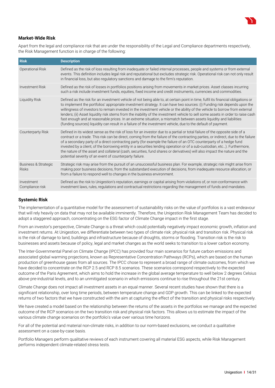

# **Market-Wide Risk**

Apart from the legal and compliance risk that are under the responsibility of the Legal and Compliance departments respectively, the Risk Management function is in charge of the following:

| <b>Risk</b>                                     | <b>Description</b>                                                                                                                                                                                                                                                                                                                                                                                                                                                                                                                                                                                                                                                                                                                                                      |
|-------------------------------------------------|-------------------------------------------------------------------------------------------------------------------------------------------------------------------------------------------------------------------------------------------------------------------------------------------------------------------------------------------------------------------------------------------------------------------------------------------------------------------------------------------------------------------------------------------------------------------------------------------------------------------------------------------------------------------------------------------------------------------------------------------------------------------------|
| <b>Operational Risk</b>                         | Defined as the risk of loss resulting from inadequate or failed internal processes, people and systems or from external<br>events. This definition includes legal risk and reputational but excludes strategic risk. Operational risk can not only result<br>in financial loss, but also regulatory sanctions and damage to the firm's reputation.                                                                                                                                                                                                                                                                                                                                                                                                                      |
| Investment Risk                                 | Defined as the risk of losses in portfolios positions arising from movements in market prices. Asset classes incurring<br>such a risk include investment funds, equities, fixed income and credit instruments, currencies and commodities.                                                                                                                                                                                                                                                                                                                                                                                                                                                                                                                              |
| Liquidity Risk                                  | Defined as the risk for an investment vehicle of not being able to, at certain point in time, fulfil its financial obligations or<br>to implement the portfolios' appropriate investment strategy. It can have two sources: (i) Funding risk depends upon the<br>willingness of investors to remain invested in the investment vehicle or the ability of the vehicle to borrow from external<br>lenders; (ii) Asset liquidity risk stems from the inability of the investment vehicle to sell some assets in order to raise cash<br>fast enough and at reasonable prices. In an extreme situation, a mismatch between assets liquidity and liabilities<br>(funding sources) liquidity can result in a failure of the investment vehicle, due to the default of payment. |
| <b>Counterparty Risk</b>                        | Defined in its widest sense as the risk of loss for an investor due to a partial or total failure of the opposite side of a<br>contract or a trade. This risk can be direct, coming from the failure of the contracting parties, or indirect, due to the failure<br>of a secondary party of a direct contracting party (for example the failure of an OTC counterparty of a hedge fund<br>invested by a client, of the borrowing entity in a securities lending operation or of a sub-custodian, etc). Furthermore,<br>the nature of the asset and collateral (cash, securities, fund shares or derivatives) will also impact the nature and the<br>potential severity of an event of counterparty failure.                                                             |
| <b>Business &amp; Strategic</b><br><b>Risks</b> | Strategic risk may arise from the pursuit of an unsuccessful business plan. For example, strategic risk might arise from<br>making poor business decisions, from the substandard execution of decisions, from inadequate resource allocation, or<br>from a failure to respond well to changes in the business environment.                                                                                                                                                                                                                                                                                                                                                                                                                                              |
| Investment<br>Compliance risk                   | Defined as the risk to Unigestion's reputation, earnings or capital arising from violations of, or non-conformance with<br>investment laws, rules, regulations and contractual restrictions regarding the management of funds and mandates.                                                                                                                                                                                                                                                                                                                                                                                                                                                                                                                             |

# **Systemic Risk**

The implementation of a quantitative model for the assessment of sustainability risks on the value of portfolios is a vast endeavour that will rely heavily on data that may not be available imminently. Therefore, the Unigestion Risk Management Team has decided to adopt a staggered approach, concentrating on the ESG factor of Climate Change impact in the first stage.

From an investor's perspective, Climate Change is a threat which could potentially negatively impact economic growth, inflation and investment returns. At Unigestion, we differentiate between two types of climate risk: physical risk and transition risk. Physical risk is the risk of damage to land, buildings and infrastructure because of droughts, storms or flooding. Transition risk is the risk to businesses and assets because of policy, legal and market changes as the world seeks to transition to a lower carbon economy.

The Inter-Governmental Panel on Climate Change (IPCC) has provided four main scenarios for future carbon emissions and associated global warming projections, known as Representative Concentration Pathways (RCPs), which are based on the human production of greenhouse gases from all sources. The IPCC chose to represent a broad range of climate outcomes, from which we have decided to concentrate on the RCP 2.5 and RCP 8.5 scenarios. These scenarios correspond respectively to the expected outcome of the Paris Agreement, which aims to hold the increase in the global average temperature to well below 2 degrees Celsius above pre-industrial levels, and to an unmitigated scenario in which emissions continue to rise throughout the 21st century.

Climate Change does not impact all investment assets in an equal manner. Several recent studies have shown that there is a significant relationship, over long time periods, between temperature change and GDP growth. This can be linked to the expected returns of two factors that we have constructed with the aim at capturing the effect of the transition and physical risks respectively.

We have created a model based on the relationship between the returns of the assets in the portfolios we manage and the expected outcome of the RCP scenarios on the two transition risk and physical risk factors. This allows us to estimate the impact of the various climate change scenarios on the portfolio's value over various time horizons.

For all of the potential and material non-climate risks, in addition to our norm-based exclusions, we conduct a qualitative assessment on a case-by-case basis.

Portfolio Managers perform qualitative reviews of each instrument covering all material ESG aspects, while Risk Management performs independent climate-related stress tests.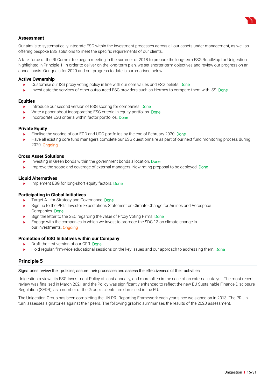

# **Assessment**

Our aim is to systematically integrate ESG within the investment processes across all our assets under management, as well as offering bespoke ESG solutions to meet the specific requirements of our clients.

A task force of the RI Committee began meeting in the summer of 2018 to prepare the long-term ESG RoadMap for Unigestion highlighted in Principle 1. In order to deliver on the long-term plan, we set shorter-term objectives and review our progress on an annual basis. Our goals for 2020 and our progress to date is summarised below:

#### **Active Ownership**

- Customise our ISS proxy voting policy in line with our core values and ESG beliefs. Done
- Investigate the services of other outsourced ESG providers such as Hermes to compare them with ISS. Done

#### **Equities**

- Introduce our second version of ESG scoring for companies. Done
- Write a paper about incorporating ESG criteria in equity portfolios. Done
- Incorporate ESG criteria within factor portfolios. Done

#### **Private Equity**

- Finalise the scoring of our ECD and UDO portfolios by the end of February 2020. Done
- Have all existing core fund managers complete our ESG questionnaire as part of our next fund monitoring process during 2020. Ongoing

#### **Cross Asset Solutions**

- Investing in Green bonds within the government bonds allocation. Done
- Improve the scope and coverage of external managers. New rating proposal to be deployed. Done

#### **Liquid Alternatives**

Implement ESG for long-short equity factors. Done

#### **Participating in Global Initiatives**

- $\blacktriangleright$  Target A+ for Strategy and Governance. Done
- Sign up to the PRI's Investor Expectations Statement on Climate Change for Airlines and Aerospace Companies. Done
- Sign the letter to the SEC regarding the value of Proxy Voting Firms. Done
- Engage with the companies in which we invest to promote the SDG 13 on climate change in our investments. Ongoing

#### **Promotion of ESG Initiatives within our Company**

- **Draft the first version of our CSR. Done**
- Hold regular, firm-wide educational sessions on the key issues and our approach to addressing them. Done

#### **Principle 5**

#### Signatories review their policies, assure their processes and assess the effectiveness of their activities.

Unigestion reviews its ESG Investment Policy at least annually, and more often in the case of an external catalyst. The most recent review was finalised in March 2021 and the Policy was significantly enhanced to reflect the new EU Sustainable Finance Disclosure Regulation (SFDR), as a number of the Group's clients are domiciled in the EU.

The Unigestion Group has been completing the UN PRI Reporting Framework each year since we signed on in 2013. The PRI, in turn, assesses signatories against their peers. The following graphic summarises the results of the 2020 assessment.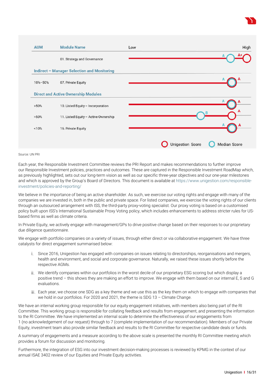



#### Source: UN PRI

Each year, the Responsible Investment Committee reviews the PRI Report and makes recommendations to further improve our Responsible Investment policies, practices and outcomes. These are captured in the Responsible Investment RoadMap which, as previously highlighted, sets out our long-term vision as well as our specific three-year objectives and our one-year milestones and which is approved by the Group's Board of Directors. This document is available at https://www.unigestion.com/responsibleinvestment/policies-and-reporting/

We believe in the importance of being an active shareholder. As such, we exercise our voting rights and engage with many of the companies we are invested in, both in the public and private space. For listed companies, we exercise the voting rights of our clients through an outsourced arrangement with ISS, the third-party proxy-voting specialist. Our proxy voting is based on a customised policy built upon ISS's International Sustainable Proxy Voting policy, which includes enhancements to address stricter rules for USbased firms as well as climate criteria.

In Private Equity, we actively engage with management/GPs to drive positive change based on their responses to our proprietary due diligence questionnaire.

We engage with portfolio companies on a variety of issues, through either direct or via collaborative engagement. We have three catalysts for direct engagement summarised below:

- i. Since 2016, Unigestion has engaged with companies on issues relating to directorships, reorganisations and mergers, health and environment, and social and corporate governance. Naturally, we raised these issues shortly before the respective AGMs.
- We identify companies within our portfolios in the worst decile of our proprietary ESG scoring but which display a positive trend – this shows they are making an effort to improve. We engage with them based on our internal E, S and G evaluations.
- iii. Each year, we choose one SDG as a key theme and we use this as the key them on which to engage with companies that we hold in our portfolios. For 2020 and 2021, the theme is SDG 13 – Climate Change.

We have an internal working group responsible for our equity engagement initiatives, with members also being part of the RI Committee. This working group is responsible for collating feedback and results from engagement, and presenting the information to the RI Committee. We have implemented an internal scale to determine the effectiveness of our engagements from 1 (no acknowledgement of our request) through to 7 (complete implementation of our recommendation). Members of our Private Equity, investment team also provide similar feedback and results to the RI Committee for respective candidate deals or funds.

A summary of engagements and a measure according to the above scale is presented the monthly RI Committee meeting which provides a forum for discussion and monitoring.

Furthermore, the integration of ESG into our investment decision-making processes is reviewed by KPMG in the context of our annual ISAE 3402 review of our Equities and Private Equity activities.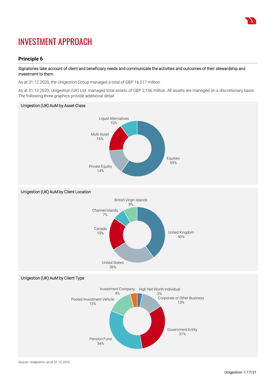

# INVESTMENT APPROACH

# **Principle 6**

### Signatories take account of client and beneficiary needs and communicate the activities and outcomes of their stewardship and investment to them.

As at 31.12.2020, the Unigestion Group managed a total of GBP 16,517 million.

As at 31.12.2020, Unigestion (UK) Ltd. managed total assets of GBP 2,156 million. All assets are managed on a discretionary basis. The following three graphics provide additional detail:



Pension Fund 34%

Government Entity 31%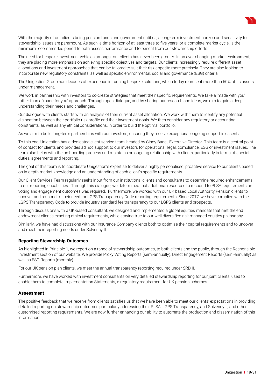

With the majority of our clients being pension funds and government entities, a long-term investment horizon and sensitivity to stewardship issues are paramount. As such, a time horizon of at least three to five years, or a complete market cycle, is the minimum recommended period to both assess performance and to benefit from our stewardship efforts.

The need for bespoke investment vehicles amongst our clients has never been greater. In an ever-changing market environment, they are placing more emphasis on achieving specific objectives and targets. Our clients increasingly require different asset allocations and investment approaches that can be tailored to suit their risk appetite more precisely. They are also looking to incorporate new regulatory constraints, as well as specific environmental, social and governance (ESG) criteria.

The Unigestion Group has decades of experience in running bespoke solutions, which today represent more than 60% of its assets under management.

We work in partnership with investors to co-create strategies that meet their specific requirements. We take a 'made with you' rather than a 'made for you' approach. Through open dialogue, and by sharing our research and ideas, we aim to gain a deep understanding their needs and challenges.

Our dialogue with clients starts with an analysis of their current asset allocation. We work with them to identify any potential dislocation between their portfolio risk profile and their investment goals. We then consider any regulatory or accounting constraints, as well as any ethical considerations, in order to build the optimal portfolio.

As we aim to build long-term partnerships with our investors, ensuring they receive exceptional ongoing support is essential.

To this end, Unigestion has a dedicated client service team, headed by Cindy Badel, Executive Director. This team is a central point of contact for clients and provides ad hoc support to our investors for operational, legal, compliance, ESG or investment issues. The team also helps with the on-boarding process and maintains an ongoing relationship with clients, particularly in terms of special duties, agreements and reporting.

The goal of this team is to coordinate Unigestion's expertise to deliver a highly personalised, proactive service to our clients based on in-depth market knowledge and an understanding of each client's specific requirements.

Our Client Services Team regularly seeks input from our institutional clients and consultants to determine required enhancements to our reporting capabilities. Through this dialogue, we determined that additional resources to respond to PLSA requirements on voting and engagement outcomes was required. Furthermore, we worked with our UK based Local Authority Pension clients to uncover and respond to their need for LGPS Transparency Code reporting requirements. Since 2017, we have complied with the LGPS Transparency Code to provide industry standard fee transparency to our LGPS clients and prospects.

Through discussions with a UK-based consultant, we designed and implemented a global equities mandate that met the end endowment client's exacting ethical requirements, while staying true to our well diversified risk managed equities philosophy.

Similarly, we have had discussions with our Insurance Company clients both to optimise their capital requirements and to uncover and meet their reporting needs under Solvency II.

#### **Reporting Stewardship Outcomes**

As highlighted in Principle 1, we report on a range of stewardship outcomes, to both clients and the public, through the Responsible Investment section of our website. We provide Proxy Voting Reports (semi-annually), Direct Engagement Reports (semi-annually) as well as ESG Reports (monthly).

For our UK pension plan clients, we meet the annual transparency reporting required under SRD II.

Furthermore, we have worked with investment consultants on very detailed stewardship reporting for our joint clients, used to enable them to complete Implementation Statements, a regulatory requirement for UK pension schemes.

#### **Assessment**

The positive feedback that we receive from clients satisfies us that we have been able to meet our clients' expectations in providing detailed reporting on stewardship outcomes particularly addressing their PLSA, LGPS Transparency, and Solvency II, and other customised reporting requirements. We are now further enhancing our ability to automate the production and dissemination of this information.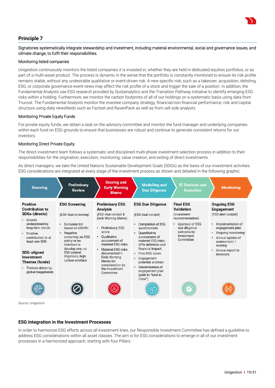

# **Principle 7**

# Signatories systematically integrate stewardship and investment, including material environmental, social and governance issues, and climate change, to fulfil their responsibilities.

#### Monitoring listed companies

Unigestion continuously monitors the listed companies it is invested in, whether they are held in dedicated equities portfolios, or as part of a multi-asset product. The process is dynamic in the sense that the portfolio is constantly monitored to ensure its risk profile remains stable, without any undesirable qualitative or event-driven risk. A new specific risk, such as a takeover, acquisition, delisting, ESG, or corporate governance event news may affect the risk profile of a stock and trigger the sale of a position. In addition, the Fundamental Analysts use ESG research provided by Sustainalytics and the Transition Pathway Initiative to identify emerging ESG risks within a holding. Furthermore, we monitor the carbon footprints of all of our holdings on a systematic basis using data from Trucost. The Fundamental Analysts monitor the investee company strategy, financial/non-financial performance, risk and capital structure using daily newsfeeds such as Factset and RavenPack as well as from sell side analysts.

# Monitoring Private Equity Funds

For private equity funds, we obtain a seat on the advisory committee and monitor the fund manager and underlying companies within each fund on ESG grounds to ensure that businesses are robust and continue to generate consistent returns for our investors.

# Monitoring Direct Private Equity

The direct investment team follows a systematic and disciplined multi-phase investment selection process in addition to their responsibilities for the origination, execution, monitoring, value creation, and exiting of direct investments.

As direct managers, we take the United Nations Sustainable Development Goals (SDGs) as the basis of our investment activities. ESG considerations are integrated at every stage of the investment process as shown and detailed in the following graphic.

| <b>Sourcing</b>                                                                                                                                                                                                                                                                             | <b>Preliminary</b><br><b>Review</b>                                                                                                                                                                                                                                  | <b>Scoring and</b><br><b>Early Warning</b><br><b>Memo</b>                                                                                                                                                                                                                                                          | <b>Modelling and</b><br><b>Due Diligence</b>                                                                                                                                                                                                                                                                                      | <b>IC Decision and</b><br><b>Execution</b>                                                                                                          | <b>Monitoring</b>                                                                                                                                                                                                     |
|---------------------------------------------------------------------------------------------------------------------------------------------------------------------------------------------------------------------------------------------------------------------------------------------|----------------------------------------------------------------------------------------------------------------------------------------------------------------------------------------------------------------------------------------------------------------------|--------------------------------------------------------------------------------------------------------------------------------------------------------------------------------------------------------------------------------------------------------------------------------------------------------------------|-----------------------------------------------------------------------------------------------------------------------------------------------------------------------------------------------------------------------------------------------------------------------------------------------------------------------------------|-----------------------------------------------------------------------------------------------------------------------------------------------------|-----------------------------------------------------------------------------------------------------------------------------------------------------------------------------------------------------------------------|
| <b>Positive</b><br><b>Contribution to</b><br><b>SDGs (directs)</b><br>Growth<br>$\bullet$<br>underpinned by<br>long-term trends<br>Positive<br>٠<br>contribution to at<br>least one SDG<br><b>SDG-aligned</b><br>Investment<br>Themes (funds)<br>Themes driven by<br>٠<br>global megatrends | <b>ESG Screening</b><br>(ESG deal screening)<br><b>Exclusion list</b><br>$\bullet$<br>based on UN PRI<br>Negative<br>$\bullet$<br>screening: no ESG<br>policy or no<br>intention to<br>develop one, no<br><b>ESG</b> related<br>litigations, high<br>carbon emitters | <b>Preliminary ESG</b><br>Analysis<br>(ESG deal cockpit &<br>Early Warning Memo)<br><b>Preliminary ESG</b><br>٠<br>score<br>Oualitative<br>$\bullet$<br>assessment of<br>material ESG risks<br>Material ESG risks<br>documented in<br>Early Warning<br>Memo for<br>consideration by<br>the Investment<br>Committee | <b>ESG Due Diligence</b><br>(ESG deal cockpit)<br>• Completion of ESG<br>questionnaire<br>Ouantitative<br>assessment of<br>material ESG risks -<br>KPIs definition and<br>financial impact<br>• Final ESG score<br>Engagement<br>٠<br>potential analysis<br>• Determination of<br>engagement plan<br>(path to "best in<br>class") | <b>Final ESG</b><br>Validation<br>(Investment)<br>recommendation)<br>Approval of ESG<br>٠<br>due diligence<br>outcome by<br>Investment<br>Committee | <b>Ongoing ESG</b><br><b>Engagement</b><br>(ESG deal cockpit)<br>Implementation of<br>٠<br>engagement plan<br>Ongoing monitoring<br>Annual update of<br>٠<br>assessment /<br>scoring<br>Annual report to<br>investors |
|                                                                                                                                                                                                                                                                                             |                                                                                                                                                                                                                                                                      |                                                                                                                                                                                                                                                                                                                    |                                                                                                                                                                                                                                                                                                                                   |                                                                                                                                                     |                                                                                                                                                                                                                       |

# **ESG Integration in the Investment Processes**

In order to harmonize ESG efforts across all investment lines, our Responsible Investment Committee has defined a guideline to address ESG considerations within all asset classes. The aim is for ESG considerations to emerge in all of our investment processes in a harmonized approach, starting with four Pillars: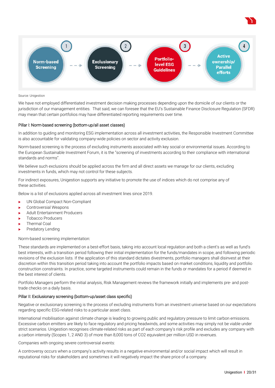



#### Source: Unigestion

We have not employed differentiated investment decision making processes depending upon the domicile of our clients or the jurisdiction of our management entities. That said, we can foresee that the EU's Sustainable Finance Disclosure Regulation (SFDR) may mean that certain portfolios may have differentiated reporting requirements over time.

#### Pillar I: Norm-based screening (bottom-up/all asset classes)

In addition to guiding and monitoring ESG implementation across all investment activities, the Responsible Investment Committee is also accountable for validating company-wide policies on sector and activity exclusion.

Norm-based screening is the process of excluding instruments associated with key social or environmental issues. According to the European Sustainable Investment Forum, it is the "screening of investments according to their compliance with international standards and norms".

We believe such exclusions should be applied across the firm and all direct assets we manage for our clients, excluding investments in funds, which may not control for these subjects.

For indirect exposures, Unigestion supports any initiative to promote the use of indices which do not comprise any of these activities.

Below is a list of exclusions applied across all investment lines since 2019.

- UN Global Compact Non-Compliant
- ▶ Controversial Weapons
- Adult Entertainment Producers
- Tobacco Producers
- Thermal Coal
- Predatory Lending

Norm-based screening implementation:

These standards are implemented on a best-effort basis, taking into account local regulation and both a client's as well as fund's best interests, with a transition period following their initial implementation for the funds/mandates in scope, and following periodic revisions of the exclusion lists. If the application of this standard dictates divestments, portfolio managers shall disinvest at their discretion within this transition period taking into account the portfolio impacts based on market conditions, liquidity and portfolio construction constraints. In practice, some targeted instruments could remain in the funds or mandates for a period if deemed in the best interest of clients.

Portfolio Managers perform the initial analysis, Risk Management reviews the framework initially and implements pre- and posttrade checks on a daily basis.

#### Pillar II: Exclusionary screening (bottom-up/asset class specific)

Negative or exclusionary screening is the process of excluding instruments from an investment universe based on our expectations regarding specific ESG-related risks to a particular asset class.

International mobilisation against climate change is leading to growing public and regulatory pressure to limit carbon emissions. Excessive carbon emitters are likely to face regulatory and pricing headwinds, and some activities may simply not be viable under strict scenarios. Unigestion recognises climate-related risks as part of each company's risk profile and excludes any company with a carbon intensity (Scopes 1, 2 AND 3) of more than 8,000 tons of CO2 equivalent per million USD in revenues.

Companies with ongoing severe controversial events:

A controversy occurs when a company's activity results in a negative environmental and/or social impact which will result in reputational risks for stakeholders and sometimes it will negatively impact the share price of a company.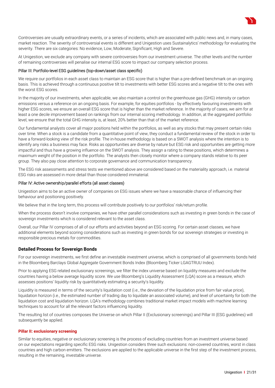

Controversies are usually extraordinary events, or a series of incidents, which are associated with public news and, in many cases, market reaction. The severity of controversial events is different and Unigestion uses Sustainalytics' methodology for evaluating the severity. There are six categories: No evidence, Low, Moderate, Significant, High and Severe.

At Unigestion, we exclude any company with severe controversies from our investment universe. The other levels and the number of remaining controversies will penalise our internal ESG score to impact our company selection process.

#### Pillar III: Portfolio-level ESG guidelines (top-down/asset class specific)

We require our portfolios in each asset class to maintain an ESG score that is higher than a pre-defined benchmark on an ongoing basis. This is achieved through a continuous positive tilt to investments with better ESG scores and a negative tilt to the ones with the worst ESG scores.

In the majority of our investments, when applicable, we also maintain a control on the greenhouse gas (GHG) intensity or carbon emissions versus a reference on an ongoing basis. For example, for equities portfolios - by effectively favouring investments with higher ESG scores, we ensure an overall ESG score that is higher than the market reference. In the majority of cases, we aim for at least a one decile improvement based on rankings from our internal scoring methodology. In addition, at the aggregated portfolio level, we ensure that the total GHG intensity is, at least, 20% better than that of the market reference.

Our fundamental analysts cover all major positions held within the portfolios, as well as any stocks that may present certain risks over time. When a stock is a candidate from a quantitative point of view, they conduct a fundamental review of the stock in order to have a forward-looking view of the risk profile. The in-house methodology is based on a SWOT analysis where the intention is to identify any risks a business may face. Risks as opportunities are diverse by nature but ESG risk and opportunities are getting more impactful and thus have a growing influence on the SWOT analysis. They assign a rating to these positions, which determines a maximum weight of the position in the portfolio. The analysts then closely monitor where a company stands relative to its peer group. They also pay close attention to corporate governance and communication transparency.

The ESG risk assessments and stress tests we mentioned above are considered based on the materiality approach, i.e. material ESG risks are assessed in more detail than those considered immaterial.

#### Pillar IV: Active ownership/parallel efforts (all asset classes)

Unigestion aims to be an active owner of companies on ESG issues where we have a reasonable chance of influencing their behaviour and positioning positively.

We believe that in the long term, this process will contribute positively to our portfolios' risk/return profile.

When the process doesn't involve companies, we have other parallel considerations such as investing in green bonds in the case of sovereign investments which is considered relevant to the asset class.

Overall, our Pillar IV comprises of all of our efforts and activities beyond an ESG scoring. For certain asset classes, we have additional elements beyond scoring considerations such as investing in green bonds for our sovereign strategies or investing in responsible precious metals for commodities.

#### **Detailed Process for Sovereign Bonds**

For our sovereign investments, we first define an investable investment universe, which is comprised of all governments bonds held in the Bloomberg Barclays Global Aggregate Government Bonds Index (Bloomberg Ticker LGAGTRUU Index).

Prior to applying ESG related exclusionary screenings, we filter the index universe based on liquidity measures and exclude the countries having a below average liquidity score. We use Bloomberg's Liquidity Assessment (LQA) score as a measure, which assesses positions' liquidity risk by quantitatively estimating a security's liquidity.

Liquidity is measured in terms of the security's liquidation cost (i.e., the deviation of the liquidation price from fair value price), liquidation horizon (i.e., the estimated number of trading day to liquidate an associated volume), and level of uncertainty for both the liquidation cost and liquidation horizon. LQA's methodology combines traditional market impact models with machine learning techniques to account for all the relevant factors influencing liquidity.

The resulting list of countries composes the Universe on which Pillar II (Exclusionary screenings) and Pillar III (ESG guidelines) will subsequently be applied.

#### **Pillar II: exclusionary screening**

Similar to equities, negative or exclusionary screening is the process of excluding countries from an investment universe based on our expectations regarding specific ESG risks. Unigestion considers three such exclusions: non-covered countries, worst in class countries and high carbon emitters. The exclusions are applied to the applicable universe in the first step of the investment process, resulting in the remaining, investable universe.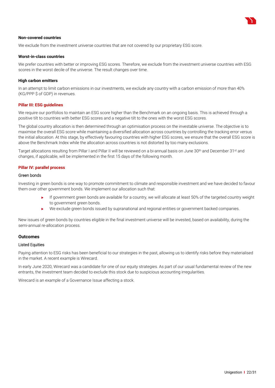

#### **Non-covered countries**

We exclude from the investment universe countries that are not covered by our proprietary ESG score.

#### **Worst-in-class countries**

We prefer countries with better or improving ESG scores. Therefore, we exclude from the investment universe countries with ESG scores in the worst decile of the universe. The result changes over time.

#### **High carbon emitters**

In an attempt to limit carbon emissions in our investments, we exclude any country with a carbon emission of more than 40% (KG/PPP \$ of GDP) in revenues.

#### **Pillar III: ESG guidelines**

We require our portfolios to maintain an ESG score higher than the Benchmark on an ongoing basis. This is achieved through a positive tilt to countries with better ESG scores and a negative tilt to the ones with the worst ESG scores.

The global country allocation is then determined through an optimisation process on the investable universe. The objective is to maximise the overall ESG score while maintaining a diversified allocation across countries by controlling the tracking error versus the initial allocation. At this stage, by effectively favouring countries with higher ESG scores, we ensure that the overall ESG score is above the Benchmark Index while the allocation across countries is not distorted by too many exclusions.

Target allocations resulting from Pillar I and Pillar II will be reviewed on a bi-annual basis on June 30<sup>th</sup> and December 31<sup>st</sup> and changes, if applicable, will be implemented in the first 15 days of the following month.

#### **Pillar IV: parallel process**

#### Green bonds

Investing in green bonds is one way to promote commitment to climate and responsible investment and we have decided to favour them over other government bonds. We implement our allocation such that:

- If government green bonds are available for a country, we will allocate at least 50% of the targeted country weight to government green bonds.
- We exclude green bonds issued by supranational and regional entities or government backed companies.

New issues of green bonds by countries eligible in the final investment universe will be invested, based on availability, during the semi-annual re-allocation process.

#### **Outcomes**

#### Listed Equities

Paying attention to ESG risks has been beneficial to our strategies in the past, allowing us to identify risks before they materialised in the market. A recent example is Wirecard.

In early June 2020, Wirecard was a candidate for one of our equity strategies. As part of our usual fundamental review of the new entrants, the investment team decided to exclude this stock due to suspicious accounting irregularities.

Wirecard is an example of a Governance Issue affecting a stock.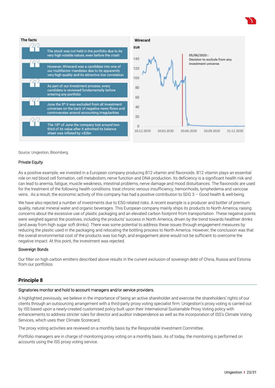



Source: Unigestion, Bloomberg.

#### Private Equity

As a positive example, we invested in a European company producing B12 vitamin and flavonoids. B12 vitamin plays an essential role on red blood cell formation, cell metabolism, nerve function and DNA production. Its deficiency is a significant health risk and can lead to anemia, fatigue, muscle weakness, intestinal problems, nerve damage and mood disturbances*.* The flavonoids are used for the treatment of the following health conditions: treat chronic venous insufficiency, hemorrhoids, lymphedema and varicose veins. As a result, the economic activity of this company has had a positive contribution to SDG 3 – Good health & well-being.

We have also rejected a number of investments due to ESG-related risks. A recent example is a producer and bottler of premium quality, natural mineral water and organic beverages. This European company mainly ships its products to North America, raising concerns about the excessive use of plastic packaging and an elevated carbon footprint from transportation. These negative points were weighed against the positives, including the products' success in North America, driven by the trend towards healthier drinks (and away from high sugar soft drinks). There was some potential to address these issues through engagement measures by reducing the plastic used in the packaging and relocating the bottling process to North America. However, the conclusion was that the overall environmental cost of the products was too high, and engagement alone would not be sufficient to overcome the negative impact. At this point, the investment was rejected.

#### Sovereign Bonds

Our filter on high carbon emitters described above results in the current exclusion of sovereign debt of China, Russia and Estonia from our portfolios.

### **Principle 8**

#### Signatories monitor and hold to account managers and/or service providers.

A highlighted previously, we believe in the importance of being an active shareholder and exercise the shareholders' rights of our clients through an outsourcing arrangement with a third-party proxy voting specialist firm. Unigestion's proxy voting is carried out by ISS based upon a newly-created customised policy built upon their International Sustainable Proxy Voting policy with enhancements to address stricter rules for director and auditor independence as well as the incorporation of ISS's Climate Voting Services, which uses their Climate Scorecard.

The proxy voting activities are reviewed on a monthly basis by the Responsible Investment Committee.

Portfolio managers are in charge of monitoring proxy voting on a monthly basis. As of today, the monitoring is performed on accounts using the ISS proxy voting service.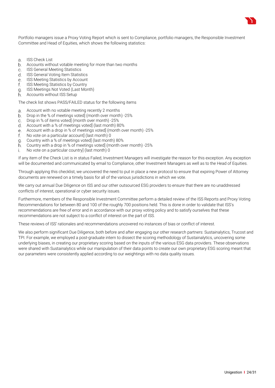

Portfolio managers issue a Proxy Voting Report which is sent to Compliance, portfolio managers, the Responsible Investment Committee and Head of Equities, which shows the following statistics:

- a ISS Check List
- Accounts without votable meeting for more than two months  $b<sub>1</sub>$
- ISS General Meeting Statistics  $\mathcal{C}$
- **ISS GENERAL MECALLY CONCOCO CONCOCO CONCOCO CONCOCO CONCOCO CONCOCO CONCOCO CONCOCO CONCOCO CONCOCO CONCOCO CONCOCO CONCOCO CONCOCO CONCOCO CONCOCO CONCOCO CONCOCO CONCOCO CONCOCO CONCOCO CONCOCO CONCOCO CONCOCO CONCOCO C**
- e. ISS Meeting Statistics by Account
- f. ISS Meeting Statistics by Country
- g. ISS Meetings Not Voted (Last Month)
- h Accounts without ISS Setup

The check list shows PASS/FAILED status for the following items

- Account with no votable meeting recently 2 months
- b. Drop in the % of meetings voted (month over month) -25%
- Drop in % of items voted] (month over month) -25%  $\cap$
- Account with a % of meetings voted] (last month) 80%
- Account with a drop in % of meetings voted] (month over month) -25%
- No vote on a particular account] (last month) 0 f.
- Country with a % of meetings voted] (last month) 80%
- Country with a drop in % of meetings voted] (month over month) -25%
- No vote on a particular country] (last month) 0 i.

If any item of the Check List is in status Failed, Investment Managers will investigate the reason for this exception. Any exception will be documented and communicated by email to Compliance, other Investment Managers as well as to the Head of Equities.

Through applying this checklist, we uncovered the need to put in place a new protocol to ensure that expiring Power of Attorney documents are renewed on a timely basis for all of the various jurisdictions in which we vote.

We carry out annual Due Diligence on ISS and our other outsourced ESG providers to ensure that there are no unaddressed conflicts of interest, operational or cyber security issues.

Furthermore, members of the Responsible Investment Committee perform a detailed review of the ISS Reports and Proxy Voting Recommendations for between 80 and 100 of the roughly 700 positions held. This is done in order to validate that ISS's recommendations are free of error and in accordance with our proxy voting policy and to satisfy ourselves that these recommendations are not subject to a conflict of interest on the part of ISS.

These reviews of ISS' rationales and recommendations uncovered no instances of bias or conflict of interest.

We also perform significant Due Diligence, both before and after engaging our other research partners: Sustainalytics, Trucost and TPI. For example, we employed a post-graduate intern to dissect the scoring methodology of Sustainalytics, uncovering some underlying biases, in creating our proprietary scoring based on the inputs of the various ESG data providers. These observations were shared with Sustainalytics while our manipulation of their data points to create our own proprietary ESG scoring meant that our parameters were consistently applied according to our weightings with no data quality issues.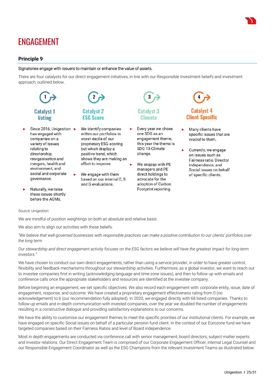

# ENGAGEMENT

# **Principle 9**

#### Signatories engage with issuers to maintain or enhance the value of assets.

There are four catalysts for our direct engagement initiatives, in line with our Responsible Investment beliefs and investment approach, outlined below.



Source: Unigestion

We are mindful of position weightings on both an absolute and relative basis.

We also aim to align our activities with these beliefs:

*"We believe that well-governed businesses with responsible practices can make a positive contribution to our clients' portfolios over the long term.*

*Our stewardship and direct engagement activity focuses on the ESG factors we believe will have the greatest impact for long-term investors."*

We have chosen to conduct our own direct engagements, rather than using a service provider, in order to have greater control, flexibility and feedback mechanisms throughout our stewardship activities. Furthermore, as a global investor, we want to reach out to investee companies first in writing (acknowledging language and time-zone issues), and then to follow up with emails and conference calls once the appropriate stakeholders and resources are identified at the investee company.

Before beginning an engagement, we set specific objectives. We also record each engagement with: corporate entity, issue, date of engagement, response, and outcome. We have created a proprietary engagement effectiveness rating from 0 (no acknowledgement) to 6 (our recommendation fully adopted). In 2020, we engaged directly with 68 listed companies. Thanks to follow-up emails and in-depth communication with invested companies, over the year we doubled the number of engagements resulting in a constructive dialogue and providing satisfactory explanations to our concerns.

We have the ability to customise our engagement themes to meet the specific priorities of our institutional clients. For example, we have engaged on specific Social issues on behalf of a particular pension fund client. In the context of our Eurozone fund we have targeted companies based on their Fairness Ratios and level of Board independence.

Most in depth engagements are conducted via conference call with senior management, board directors, subject matter experts and investor relations. Our Direct Engagement Team is comprised of our Corporate Engagement Officer, internal Legal Counsel and our Responsible Engagement Coordinator as well as the ESG Champions from the relevant Investment Teams as illustrated below: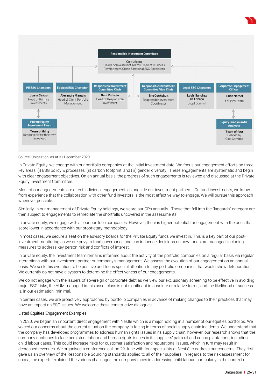

Source: Unigestion, as at 31 December 2020

In Private Equity, we engage with our portfolio companies at the initial investment date. We focus our engagement efforts on three key areas: (i) ESG policy & processes; (ii) carbon footprint; and (iii) gender diversity. These engagements are systematic and begin with clear engagement objectives. On an annual basis, the progress of such engagements is reviewed and discussed at the Private Equity Investment Committee.

Most of our engagements are direct individual engagements, alongside our investment partners. On fund investments, we know from experience that the collaboration with other fund investors is the most effective way to engage. We will pursue this approach whenever possible.

Similarly, in our management of Private Equity holdings, we score our GPs annually. Those that fall into the "laggards" category are then subject to engagements to remediate the shortfalls uncovered in the assessments.

In private equity, we engage with all our portfolio companies. However, there is higher potential for engagement with the ones that score lower in accordance with our proprietary methodology.

In most cases, we secure a seat on the advisory boards for the Private Equity funds we invest in. This is a key part of our postinvestment monitoring as we are privy to fund governance and can influence decisions on how funds are managed, including measures to address key person risk and conflicts of interest.

In private equity, the investment team remains informed about the activity of the portfolio companies on a regular basis via regular interactions with our investment partner or company's management. We assess the evolution of our engagement on an annual basis. We seek this evolution to be positive and focus special attention to any portfolio companies that would show deterioration. We currently do not have a system to determine the effectiveness of our engagements.

We do not engage with the issuers of sovereign or corporate debt as we view our exclusionary screening to be effective in avoiding major ESG risks, the AUM managed in this asset class is not significant in absolute or relative terms, and the likelihood of success is, in our estimation, minimal.

In certain cases, we are proactively approached by portfolio companies in advance of making changes to their practices that may have an impact on ESG issues. We welcome these constructive dialogues.

#### Listed Equities Engagement Examples

In 2020, we began an important direct engagement with Nestlé which is a major holding in a number of our equities portfolios. We voiced our concerns about the current situation the company is facing in terms of social supply chain incidents. We understand that the company has developed programmes to address human rights issues in its supply chain, however, our research shows that the company continues to face persistent labour and human rights issues in its suppliers' palm oil and cocoa plantations, including child labour cases. This could increase risks for customer satisfaction and reputational issues, which in turn may result in decreased revenues. We organised a conference call on 29 June with four specialists at Nestlé to address our concerns. They first gave us an overview of the Responsible Sourcing standards applied to all of their suppliers. In regards to the risk assessment for cocoa, the experts explained the various challenges the company faces in addressing child labour, particularly in the context of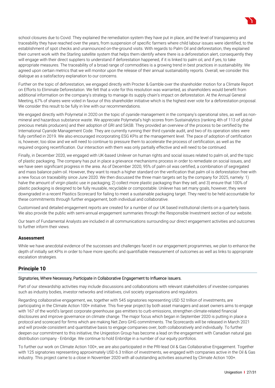

Further on the topic of deforestation, we engaged directly with Procter & Gamble over the shareholder motion for a Climate Report on Efforts to Eliminate Deforestation. We felt that a vote for this resolution was warranted, as shareholders would benefit from additional information on the company's strategy to manage its supply chain's impact on deforestation. At the Annual General Meeting, 67% of shares were voted in favour of this shareholder initiative which is the highest ever vote for a deforestation proposal. We consider this result to be fully in line with our recommendations.

We engaged directly with Polymetal in 2020 on the topic of cyanide management in the company's operational sites, as well as nonmineral and hazardous substance waste. We appreciate Polymetal's high scores from Sustainalytics (ranking 4th of 113 of global precious metals producers) and their adoption of GRI and SASB. They provided an overview of the process to be certified by the International Cyanide Management Code. They are currently running their third cyanide audit, and two of its operation sites were fully certified in 2019. We also encouraged incorporating ESG KPIs at the management level. The pace of adoption of certification is, however, too slow and we will need to continue to pressure them to accelerate the process of certification, as well as the required ongoing recertification. Our interaction with them was only partially effective and will need to be continued.

Finally, in December 2020, we engaged with UK-based Unilever on human rights and social issues related to palm oil, and the topic of plastic packaging. The company has put in place a grievance mechanisms process in order to remediate on social issues, and we have seen significant progress in the area. As of December 2020, 95% of palm oil was certified, a combination of segregated and mass balance palm oil. However, they want to reach a higher standard on the verification that palm oil is deforestation free with a new focus on traceability since June 2020. We then discussed the three main targets set by the company for 2025, namely: 1) halve the amount of virgin plastic use in packaging; 2) collect more plastic packaging than they sell; and 3) ensure that 100% of plastic packaging is designed to be fully reusable, recyclable or compostable. Unilever has set many goals, however, they were downgraded in a recent Plastics Scorecard for failing to meet a sustainable packaging target. They need to be held accountable for these commitments through further engagement, both individual and collaborative.

Customised and detailed engagement reports are created for a number of our UK based institutional clients on a quarterly basis. We also provide the public with semi-annual engagement summaries through the Responsible Investment section of our website.

Our team of Fundamental Analysts are included in all communications surrounding our direct engagement activities and outcomes to further inform their views.

# **Assessment**

While we have anecdotal evidence of the successes and challenges faced in our engagement programmes, we plan to enhance the depth of initially set KPIs in order to have more specific and quantifiable measurement of outcomes as well as links to appropriate escalation strategies.

# **Principle 10**

#### Signatories, Where Necessary, Participate in Collaborative Engagement to Influence Issuers.

Part of our stewardship activities may include discussions and collaborations with relevant stakeholders of investee companies such as industry bodies, investor networks and initiatives, civil society organisations and regulators.

Regarding collaborative engagement, we, together with 545 signatories representing USD 52 trillion of investments, are participating in the Climate Action 100+ initiative. This five-year project by both asset managers and asset owners aims to engage with 167 of the world's largest corporate greenhouse gas emitters to curb emissions, strengthen climate-related financial disclosures and improve governance on climate change. The major focus which began in September 2020 is putting in place a protocol and scorecard for firms which are making Net Zero GHG commitments. The Scorecards will be released in March 2021 and will provide consistent and quantitative basis to engage companies over, both collaboratively and individually. To further deepen our commitment to this initiative, the Unigestion Group has become a lead on the engagement with Canadian natural gas distribution company - Enbridge. We continue to hold Enbridge in a number of our equity portfolios.

To further our work on Climate Action 100+, we are also participated in the PRI-lead Oil & Gas Collaborative Engagement. Together with 125 signatories representing approximately USD 6.3 trillion of investments, we engaged with companies active in the Oil & Gas industry. This project came to a close in November 2020 with all outstanding activities assumed by Climate Action 100+.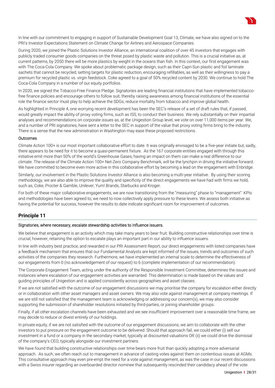

During 2020, we joined the Plastic Solutions Investor Alliance, an international coalition of over 45 investors that engages with publicly traded consumer goods companies on the threat posed by plastic waste and pollution. This is a crucial initiative as, at current patterns, by 2050 there will be more plastics by weight in the oceans than fish. In this context, our first engagement was with The Coca-Cola Company. We spoke about problematic package design, such as their Capri-Sun plastic and foil laminate sachets that cannot be recycled, setting targets for plastic reduction, encouraging refillables, as well as their willingness to pay a premium for recycled plastic vs. virgin feedstock. Coke agreed to a goal of 50% recycled content by 2030. We continue to hold The Coca-Cola Company in a number of our equity portfolios.

In 2020, we signed the Tobacco-Free Finance Pledge. Signatories are leading financial institutions that have implemented tobaccofree finance policies and encourage others to follow suit, thereby raising awareness among financial institutions of the essential role the finance sector must play to help achieve the SDGs, reduce mortality from tobacco and improve global health.

As highlighted in Principle 4, one worrying recent development has been the SEC's release of a set of draft rules that, if passed, would greatly impact the ability of proxy voting firms, such as ISS, to conduct their business. We rely substantially on their impartial analyses and recommendations on corporate issues as, at the Unigestion Group level, we vote on over 11,000 items per year. We, and a number of PRI signatories, have sent a letter to the SEC in support of the value that proxy voting firms bring to the industry. There is a sense that the new administration in Washington may ease these proposed restrictions.

#### **Outcomes**

Climate Action 100+ is our most important collaborative effort to date. It was originally envisaged to be a five-year initiate but, sadly, there appears to be need for it to become a quasi-permanent fixture. As the 167 corporate entities engaged with through this initiative emit more than 50% of the world's Greenhouse Gases, having an impact on them can make a real difference to our climate. The release of the Climate Action 100+ Net-Zero Company Benchmark, will be the lynchpin in driving the initiative forward. We have committed to become even more active in this collaborative effort by becoming a lead on the engagement with Enbridge.

Similarly, our involvement in the Plastic Solutions Investor Alliance is also becoming a multi-year initiative. By using their scoring methodology, we are also able to improve the quality and specificity of the direct engagements we have had with firms we hold, such as, Coke, Procter & Gamble, Unilever, Yum! Brands, Starbucks and Kroger.

For both of these major collaborative engagements, we are now transitioning from the "measuring" phase to "management". KPIs and methodologies have been agreed to; we need to now collectively apply pressure to these levers. We assess both initiative as having the potential for success, however the results to date indicate significant room for improvement of outcomes.

# **Principle 11**

#### Signatories, where necessary, escalate stewardship activities to influence issuers.

We believe that engagement is an activity which may take many years to bear fruit. Building constructive relationships over time is crucial, however, retaining the option to escalate plays an important part in our ability to influence issuers.

In line with industry best practice, and rewarded in our PRI Assessment Report, our direct engagements with listed companies have a feedback mechanism that ensures that our Fundamental Analysts are kept informed of the issues, trends and outcomes of such activities of the companies they research. Furthermore, we have implemented an internal scale to determine the effectiveness of our engagements from 0 (no acknowledgement of our request) to 6 (complete implementation of our recommendation).

The Corporate Engagement Team, acting under the authority of the Responsible Investment Committee, determines the issues and instances where escalation of our engagement activities are warranted. This determination is made based on the values and guiding principles of Unigestion and is applied consistently across geographies and asset classes.

If we are not satisfied with the outcome of our engagement discussions we may prioritise the company for escalation either directly or in collaboration with other asset managers and asset owners. We may also vote against management at company meetings. If we are still not satisfied that the management team is acknowledging or addressing our concern(s), we may also consider supporting the submission of shareholder resolutions initiated by third-parties, or joining shareholder groups.

Finally, if all other escalation channels have been exhausted and we see insufficient improvement over a reasonable time frame, we may decide to reduce or divest entirely of our holdings.

In private equity, if we are not satisfied with the outcome of our engagement discussions, we aim to collaborate with the other investors to put pressure on the engagement outcome to be delivered. Should that approach fail, we could either (i) sell our investment in a fund or a company in the secondary market, typically at discounted valuations OR (ii) we could drive the dismissal of the company's CEO, typically alongside our investment partners.

We have found that building constructive relationships over time bears more fruit than quickly adopting a more adversarial approach. As such, we often reach out to management in advance of casting votes against them on contentious issues at AGMs. This consultative approach may even pre-empt the need for a vote against management, as was the case in our recent discussions with a Swiss insurer regarding an overboarded director nominee that subsequently rescinded their candidacy ahead of the vote.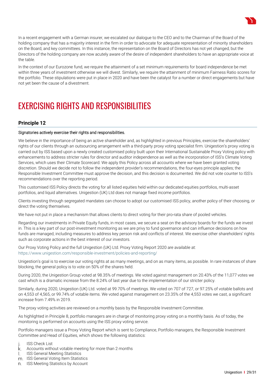

In the context of our Eurozone fund, we require the attainment of a set minimum requirements for board independence be met within three years of investment otherwise we will divest. Similarly, we require the attainment of minimum Fairness Ratio scores for the portfolio. These stipulations were put in place in 2020 and have been the catalyst for a number or direct engagements but have not yet been the cause of a divestment.

# EXERCISING RIGHTS AND RESPONSIBILITIES

# **Principle 12**

#### Signatories actively exercise their rights and responsibilities.

We believe in the importance of being an active shareholder and, as highlighted in previous Principles, exercise the shareholders' rights of our clients through an outsourcing arrangement with a third-party proxy voting specialist firm. Unigestion's proxy voting is carried out by ISS based upon a newly created customised policy built upon their International Sustainable Proxy Voting policy with enhancements to address stricter rules for director and auditor independence as well as the incorporation of ISS's Climate Voting Services, which uses their Climate Scorecard. We apply this Policy across all accounts where we have been granted voting discretion. Should we decide not to follow the independent provider's recommendations, the four-eyes principle applies; the Responsible Investment Committee must approve the decision, and this decision is documented. We did not vote counter to ISS's recommendations over the reporting period.

This customised ISS Policy directs the voting for all listed equities held within our dedicated equities portfolios, multi-asset portfolios, and liquid alternatives. Unigestion (UK) Ltd does not manage fixed income portfolios.

Clients investing through segregated mandates can choose to adopt our customised ISS policy, another policy of their choosing, or direct the voting themselves.

We have not put in place a mechanism that allows clients to direct voting for their pro-rata share of pooled vehicles.

Regarding our investments in Private Equity funds, in most cases, we secure a seat on the advisory boards for the funds we invest in. This is a key part of our post-investment monitoring as we are privy to fund governance and can influence decisions on how funds are managed, including measures to address key person risk and conflicts of interest. We exercise other shareholders' rights such as corporate actions in the best interest of our investors.

Our Proxy Voting Policy and the full Unigestion (UK) Ltd. Proxy Voting Report 2020 are available at: https://www.unigestion.com/responsible-investment/policies-and-reporting/

Unigestion's goal is to exercise our voting rights at as many meetings, and on as many items, as possible. In rare instances of share blocking, the general policy is to vote on 50% of the shares held.

During 2020, the Unigestion Group voted at 98.35% of meetings. We voted against management on 20.43% of the 11,077 votes we cast which is a dramatic increase from the 8.24% of last year due to the implementation of our stricter policy.

Similarly, during 2020, Unigestion (UK) Ltd. voted at 99.70% of meetings. We voted on 707 of 727, or 97.25% of votable ballots and on 4,553 of 4,565, or 99.74% of votable items. We voted against management on 23.35% of the 4,553 votes we cast, a significant increase from 7.49% in 2019.

The proxy voting activities are reviewed on a monthly basis by the Responsible Investment Committee.

As highlighted in Principle 8, portfolio managers are in charge of monitoring proxy voting on a monthly basis. As of today, the monitoring is performed on accounts using the ISS proxy voting service.

Portfolio managers issue a Proxy Voting Report which is sent to Compliance, Portfolio managers, the Responsible Investment Committee and Head of Equities, which shows the following statistics:

- ISS Check List  $\mathsf{I}$ .
- k. Accounts without votable meeting for more than 2 months
- ISS General Meeting Statistics  $\mathbf{L}$
- m. ISS General Voting Item Statistics
- n. ISS Meeting Statistics by Account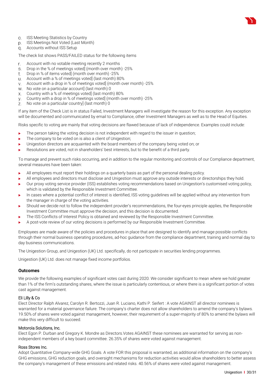

- p. ISS Meetings Not Voted (Last Month)
- Accounts without ISS Setup

The check list shows PASS/FAILED status for the following items

- Account with no votable meeting recently 2 months r.
- Drop in the % of meetings voted] (month over month) -25%  $S_{\cdot}$
- t. Drop in % of items voted] (month over month) -25%
- Account with a % of meetings voted] (last month) 80%
- Account with a drop in % of meetings voted] (month over month) -25%
- w. No vote on a particular account] (last month) 0
- Country with a % of meetings voted] (last month) 80%
- Country with a drop in % of meetings voted] (month over month) -25%
- z. No vote on a particular country] (last month) 0

If any item of the Check List is in status Failed, Investment Managers will investigate the reason for this exception. Any exception will be documented and communicated by email to Compliance, other Investment Managers as well as to the Head of Equities.

Risks specific to voting are mainly that voting decisions are flawed because of lack of independence. Examples could include:

- $\blacktriangleright$  The person taking the voting decision is not independent with regard to the issuer in question;
- The company to be voted on is also a client of Unigestion;
- $\blacktriangleright$  Unigestion directors are acquainted with the board members of the company being voted on; or
- Resolutions are voted, not in shareholders' best interests, but to the benefit of a third party.

To manage and prevent such risks occurring, and in addition to the regular monitoring and controls of our Compliance department, several measures have been taken:

- All employees must report their holdings on a quarterly basis as part of the personal dealing policy.
- All employees and directors must disclose and Unigestion must approve any outside interests or directorships they hold.
- Our proxy voting service provider (ISS) establishes voting recommendations based on Unigestion's customised voting policy, which is validated by the Responsible Investment Committee.
- In cases where a potential conflict of interest is identified, ISS voting guidelines will be applied without any intervention from the manager in charge of the voting activities.
- Should we decide not to follow the independent provider's recommendations, the four-eyes principle applies, the Responsible Investment Committee must approve the decision, and this decision is documented.
- The ISS Conflicts of Interest Policy is obtained and reviewed by the Responsible Investment Committee.
- A post-vote review of our voting decisions is performed by our Responsible Investment Committee.

Employees are made aware of the policies and procedures in place that are designed to identify and manage possible conflicts through their normal business operating procedures, ad-hoc guidance from the compliance department, training and normal day to day business communications.

The Unigestion Group, and Unigestion (UK) Ltd. specifically, do not participate in securities lending programmes.

Unigestion (UK) Ltd. does not manage fixed income portfolios.

#### **Outcomes**

We provide the following examples of significant votes cast during 2020. We consider significant to mean where we hold greater than 1% of the firm's outstanding shares, where the issue is particularly contentious, or where there is a significant portion of votes cast against management.

#### Eli Lilly & Co

Elect Director Ralph Alvarez, Carolyn R. Bertozzi, Juan R. Luciano, Kathi P. Seifert : A vote AGAINST all director nominees is warranted for a material governance failure. The company's charter does not allow shareholders to amend the company's bylaws. 19.50% of shares were voted against management, however, their requirement of a super-majority of 80% to amend the bylaws will make this very difficult to succeed.

#### Motorola Solutions, Inc.

Elect Egon P. Durban and Gregory K. Mondre as Directors.Votes AGAINST these nominees are warranted for serving as nonindependent members of a key board committee. 26.35% of shares were voted against management.

#### Ross Stores Inc.

Adopt Quantitative Company-wide GHG Goals. A vote FOR this proposal is warranted, as additional information on the company's GHG emissions, GHG reduction goals, and oversight mechanisms for reduction activities would allow shareholders to better assess the company's management of these emissions and related risks. 40.56% of shares were voted against management.